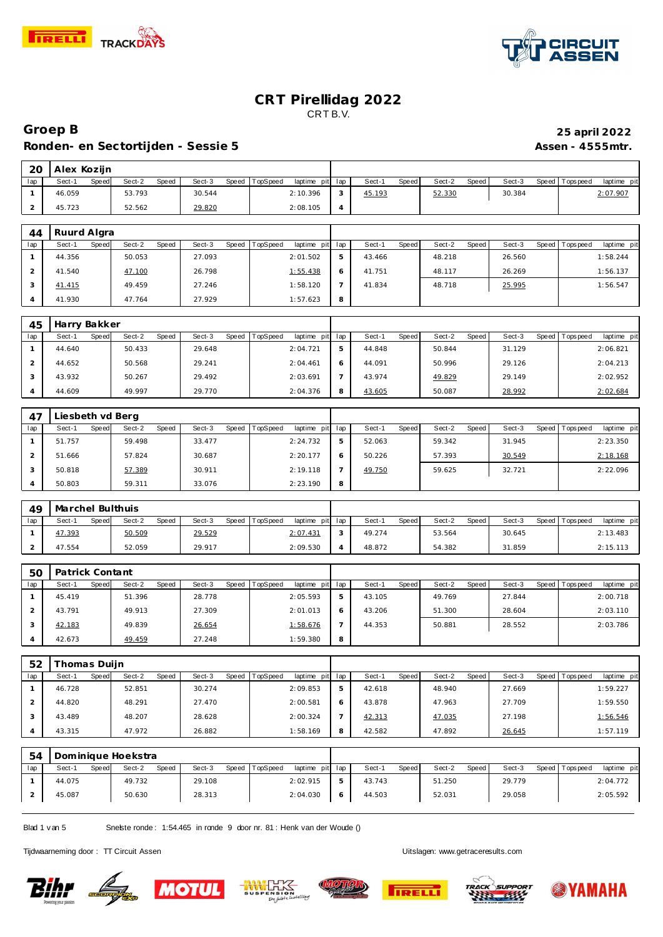



#### **Groep B 25 april 2022** Ronden- en Sectortijden - Sessie 5<br>
Assen - 4555mtr.

| - 20 | Alex Koziin |       |        |       |        |                |                 |        |       |        |       |        |                 |             |
|------|-------------|-------|--------|-------|--------|----------------|-----------------|--------|-------|--------|-------|--------|-----------------|-------------|
| lap  | Sect-1      | Speed | Sect-2 | Speed | Sect-3 | Speed TopSpeed | laptime pit lap | Sect-1 | Speed | Sect-2 | Speed | Sect-3 | Speed Tops peed | laptime pit |
|      | 46.059      |       | 53.793 |       | 30.544 |                | 2:10.396        | 45.193 |       | 52.330 |       | 30.384 |                 | 2:07.907    |
|      | 45.723      |       | 52.562 |       | 29.820 |                | 2:08.105        |        |       |        |       |        |                 |             |

| 44  | Ruurd Algra |       |        |       |        |       |          |                 |   |        |              |        |       |        |       |            |             |
|-----|-------------|-------|--------|-------|--------|-------|----------|-----------------|---|--------|--------------|--------|-------|--------|-------|------------|-------------|
| lap | Sect-1      | Speed | Sect-2 | Speed | Sect-3 | Speed | TopSpeed | laptime pit lap |   | Sect-1 | <b>Speed</b> | Sect-2 | Speed | Sect-3 | Speed | Tops pee d | laptime pit |
|     | 44.356      |       | 50.053 |       | 27.093 |       |          | 2:01.502        |   | 43.466 |              | 48.218 |       | 26.560 |       |            | 1:58.244    |
|     | 41.540      |       | 47.100 |       | 26.798 |       |          | 1:55.438        | O | 41.751 |              | 48.117 |       | 26.269 |       |            | 1:56.137    |
|     | 41.415      |       | 49.459 |       | 27.246 |       |          | 1:58.120        |   | 41.834 |              | 48.718 |       | 25.995 |       |            | 1:56.547    |
|     | 41.930      |       | 47.764 |       | 27.929 |       |          | 1:57.623        | 8 |        |              |        |       |        |       |            |             |

| 45  | Harry Bakker    |                 |                 |                             |   |                |                 |        |                                |
|-----|-----------------|-----------------|-----------------|-----------------------------|---|----------------|-----------------|--------|--------------------------------|
| lap | Speed<br>Sect-1 | Sect-2<br>Speed | Sect-3<br>Speed | TopSpeed<br>laptime pit lap |   | Sect-<br>Speed | Sect-2<br>Speed | Sect-3 | Speed Tops peed<br>laptime pit |
|     | 44.640          | 50.433          | 29.648          | 2:04.721                    | ь | 44.848         | 50.844          | 31.129 | 2:06.821                       |
|     | 44.652          | 50.568          | 29.241          | 2:04.461                    |   | 44.091         | 50.996          | 29.126 | 2:04.213                       |
|     | 43.932          | 50.267          | 29.492          | 2:03.691                    |   | 43.974         | 49.829          | 29.149 | 2:02.952                       |
|     | 44.609          | 49.997          | 29.770          | 2:04.376                    | 8 | 43.605         | 50.087          | 28.992 | 2:02.684                       |

| 47  | Liesbeth vd Berg |       |        |       |        |                |             |     |        |              |        |       |        |                   |             |
|-----|------------------|-------|--------|-------|--------|----------------|-------------|-----|--------|--------------|--------|-------|--------|-------------------|-------------|
| lap | Sect-1           | Speed | Sect-2 | Speed | Sect-3 | Speed TopSpeed | laptime pit | lap | Sect-1 | <b>Speed</b> | Sect-2 | Speed | Sect-3 | Speed   Tops peed | laptime pit |
|     | 51.757           |       | 59.498 |       | 33.477 |                | 2:24.732    | 5   | 52.063 |              | 59.342 |       | 31.945 |                   | 2:23.350    |
|     | 51.666           |       | 57.824 |       | 30.687 |                | 2:20.177    | 6   | 50.226 |              | 57.393 |       | 30.549 |                   | 2:18.168    |
|     | 50.818           |       | 57.389 |       | 30.911 |                | 2:19.118    |     | 49.750 |              | 59.625 |       | 32.721 |                   | 2:22.096    |
|     | 50.803           |       | 59.311 |       | 33.076 |                | 2:23.190    | 8   |        |              |        |       |        |                   |             |

| 49  | Marchel Bulthuis |       |        |       |        |       |          |                 |        |       |        |         |        |                 |             |
|-----|------------------|-------|--------|-------|--------|-------|----------|-----------------|--------|-------|--------|---------|--------|-----------------|-------------|
| lap | Sect-'           | Speed | Sect-2 | Speed | Sect-3 | Speed | TopSpeed | laptime pit lap | Sect-1 | Speed | Sect-2 | Speed I | Sect-3 | Speed Tops peed | laptime pit |
|     | 47.393           |       | 50.509 |       | 29.529 |       |          | 2:07.431        | 49.274 |       | 53.564 |         | 30.645 |                 | 2:13.483    |
|     | 47.554           |       | 52.059 |       | 29.917 |       |          | 2:09.530        | 48.872 |       | 54.382 |         | 31.859 |                 | 2:15.113    |

| 5C  | Patrick Contant |                 |                 |                                    |   |                 |                 |        |                               |
|-----|-----------------|-----------------|-----------------|------------------------------------|---|-----------------|-----------------|--------|-------------------------------|
| lap | Sect-1<br>Speed | Sect-2<br>Speed | Sect-3<br>Speed | <b>TopSpeed</b><br>laptime pit lap |   | Speed<br>Sect-1 | Speed<br>Sect-2 | Sect-3 | laptime pit<br>Speed Topspeed |
|     | 45.419          | 51.396          | 28.778          | 2:05.593                           |   | 43.105          | 49.769          | 27.844 | 2:00.718                      |
|     | 43.791          | 49.913          | 27.309          | 2:01.013                           |   | 43.206          | 51.300          | 28.604 | 2:03.110                      |
|     | 42.183          | 49.839          | 26.654          | 1:58.676                           |   | 44.353          | 50.881          | 28.552 | 2:03.786                      |
|     | 42.673          | 49.459          | 27.248          | 1:59.380                           | 8 |                 |                 |        |                               |

| 52  | homas Duijn |       |        |       |        |       |          |                 |   |        |       |        |       |        |                 |             |
|-----|-------------|-------|--------|-------|--------|-------|----------|-----------------|---|--------|-------|--------|-------|--------|-----------------|-------------|
| lap | Sect-1      | Speed | Sect-2 | Speed | Sect-3 | Speed | TopSpeed | laptime pit lap |   | Sect-1 | Speed | Sect-2 | Speed | Sect-3 | Speed Tops peed | laptime pit |
|     | 46.728      |       | 52.851 |       | 30.274 |       |          | 2:09.853        | 5 | 42.618 |       | 48.940 |       | 27.669 |                 | 1:59.227    |
|     | 44.820      |       | 48.291 |       | 27.470 |       |          | 2:00.581        |   | 43.878 |       | 47.963 |       | 27.709 |                 | 1:59.550    |
|     | 43.489      |       | 48.207 |       | 28.628 |       |          | 2:00.324        |   | 42.313 |       | 47.035 |       | 27.198 |                 | 1:56.546    |
|     | 43.315      |       | 47.972 |       | 26.882 |       |          | 1:58.169        | 8 | 42.582 |       | 47.892 |       | 26.645 |                 | 1:57.119    |

|     | 54 |        |       | Dominique Hoekstra |       |        |       |          |                 |   |        |       |        |       |        |                 |             |
|-----|----|--------|-------|--------------------|-------|--------|-------|----------|-----------------|---|--------|-------|--------|-------|--------|-----------------|-------------|
| lap |    | Sect-1 | Speed | Sect-2             | Speed | Sect-3 | Speed | TopSpeed | laptime pit lap |   | Sect-1 | Speed | Sect-2 | Speed | Sect-3 | Speed Tops peed | laptime pit |
|     |    | 44.075 |       | 49.732             |       | 29.108 |       |          | 2:02.915        |   | 43.743 |       | 51.250 |       | 29.779 |                 | 2:04.772    |
|     |    | 45.087 |       | 50.630             |       | 28.313 |       |          | 2:04.030        | 6 | 44.503 |       | 52.031 |       | 29.058 |                 | 2:05.592    |

Blad 1 v an 5 Snelste ronde : 1:54.465 in ronde 9 door nr. 81 : Henk v an der Woude ()

Tijdwaarneming door : TT Circuit Assen Uitslagen:<www.getraceresults.com>









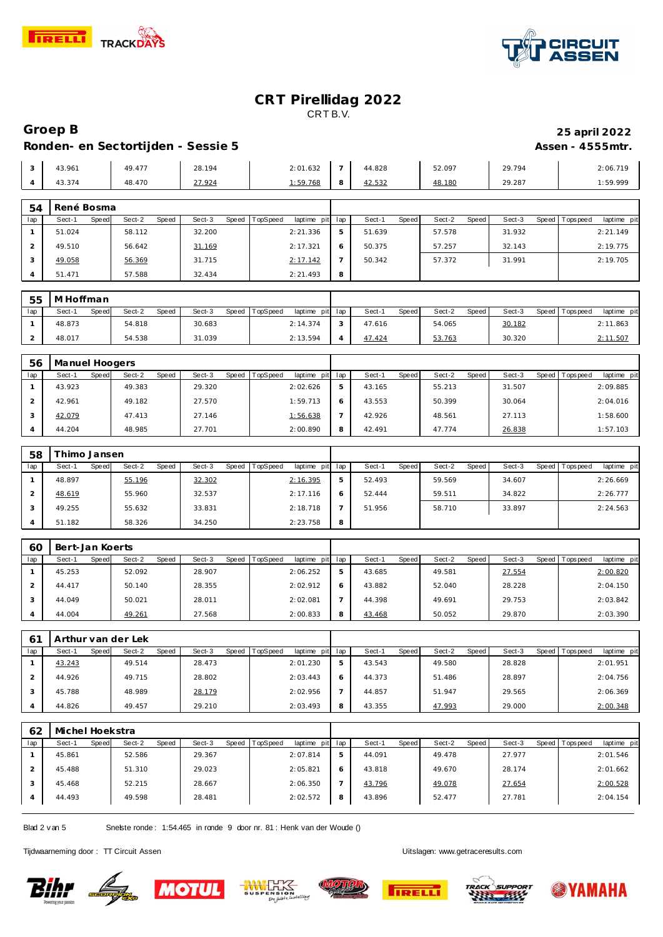



# **Groep B 25 april 2022**

## Ronden- en Sectortijden - Sessie 5<br>
Assen - 4555mtr.

| 3.961 | 49.477 | 28.194 | 2:01.632 |                            | 44.828                | 52.097 | 29.794 | 2:06.719 |
|-------|--------|--------|----------|----------------------------|-----------------------|--------|--------|----------|
| 3.374 | 48.470 | 27.924 | 1:59.768 | $\tilde{\phantom{a}}$<br>2 | 42.532<br><u>____</u> | 48.180 | 29.287 | :59.999  |

| 54  | René Bosma |       |        |       |        |       |          |             |     |        |       |        |       |        |       |           |             |
|-----|------------|-------|--------|-------|--------|-------|----------|-------------|-----|--------|-------|--------|-------|--------|-------|-----------|-------------|
| lap | Sect-1     | Speed | Sect-2 | Speed | Sect-3 | Speed | TopSpeed | laptime pit | lap | Sect-1 | Speed | Sect-2 | Speed | Sect-3 | Speed | Tops peed | laptime pit |
|     | 51.024     |       | 58.112 |       | 32.200 |       |          | 2:21.336    | 5   | 51.639 |       | 57.578 |       | 31.932 |       |           | 2:21.149    |
|     | 49.510     |       | 56.642 |       | 31.169 |       |          | 2:17.321    | 6   | 50.375 |       | 57.257 |       | 32.143 |       |           | 2:19.775    |
|     | 49.058     |       | 56.369 |       | 31.715 |       |          | 2:17.142    |     | 50.342 |       | 57.372 |       | 31.991 |       |           | 2:19.705    |
|     | 51.471     |       | 57.588 |       | 32.434 |       |          | 2:21.493    | 8   |        |       |        |       |        |       |           |             |

| 55  | M Hoffman |       |        |              |        |       |          |                 |        |        |       |        |       |        |                 |             |
|-----|-----------|-------|--------|--------------|--------|-------|----------|-----------------|--------|--------|-------|--------|-------|--------|-----------------|-------------|
| lap | Sect-1    | Speed | Sect-2 | <b>Speed</b> | Sect-3 | Speed | TopSpeed | laptime pit lap |        | Sect-1 | Speed | Sect-2 | Speed | Sect-3 | Speed Tops peed | laptime pit |
|     | 48.873    |       | 54.818 |              | 30.683 |       |          | 2:14.374        | $\sim$ | 47.616 |       | 54.065 |       | 30.182 |                 | 2:11.863    |
|     | 48.017    |       | 54.538 |              | 31.039 |       |          | 2:13.594        |        | 47.424 |       | 53.763 |       | 30.320 |                 | 2:11.507    |

| 56  | Manuel Hoogers  |                 |                 |                                    |                 |                 |        |                                |
|-----|-----------------|-----------------|-----------------|------------------------------------|-----------------|-----------------|--------|--------------------------------|
| lap | Sect-1<br>Speed | Sect-2<br>Speed | Sect-3<br>Speed | <b>TopSpeed</b><br>laptime pit lap | Sect-1<br>Speed | Sect-2<br>Speed | Sect-3 | laptime pit<br>Speed Tops peed |
|     | 43.923          | 49.383          | 29.320          | 2:02.626                           | 43.165          | 55.213          | 31.507 | 2:09.885                       |
|     | 42.961          | 49.182          | 27.570          | 1:59.713                           | 43.553          | 50.399          | 30.064 | 2:04.016                       |
|     | 42.079          | 47.413          | 27.146          | 1:56.638                           | 42.926          | 48.561          | 27.113 | 1:58.600                       |
|     | 44.204          | 48.985          | 27.701          | 2:00.890                           | 42.491          | 47.774          | 26.838 | 1:57.103                       |

| 58  | i himo Jansen   |                 |                 |                             |   |                 |                   |        |                                |
|-----|-----------------|-----------------|-----------------|-----------------------------|---|-----------------|-------------------|--------|--------------------------------|
| lap | Sect-1<br>Speed | Sect-2<br>Speed | Sect-3<br>Speed | TopSpeed<br>laptime pit lap |   | Speed<br>Sect-1 | Speed  <br>Sect-2 | Sect-3 | Speed Tops peed<br>laptime pit |
|     | 48.897          | 55.196          | 32.302          | 2:16.395                    | 5 | 52.493          | 59.569            | 34.607 | 2:26.669                       |
|     | 48.619          | 55.960          | 32.537          | 2:17.116                    |   | 52.444          | 59.511            | 34.822 | 2:26.777                       |
|     | 49.255          | 55.632          | 33.831          | 2:18.718                    |   | 51.956          | 58.710            | 33.897 | 2:24.563                       |
|     | 51.182          | 58.326          | 34.250          | 2:23.758                    | 8 |                 |                   |        |                                |

| 60  | Bert-Jan Koerts |       |        |              |        |       |          |             |     |        |       |        |       |        |                 |             |
|-----|-----------------|-------|--------|--------------|--------|-------|----------|-------------|-----|--------|-------|--------|-------|--------|-----------------|-------------|
| lap | Sect-1          | Speed | Sect-2 | <b>Speed</b> | Sect-3 | Speed | TopSpeed | laptime pit | lap | Sect-1 | Speed | Sect-2 | Speed | Sect-3 | Speed Tops peed | laptime pit |
|     | 45.253          |       | 52.092 |              | 28.907 |       |          | 2:06.252    |     | 43.685 |       | 49.581 |       | 27.554 |                 | 2:00.820    |
|     | 44.417          |       | 50.140 |              | 28.355 |       |          | 2:02.912    |     | 43.882 |       | 52.040 |       | 28.228 |                 | 2:04.150    |
|     | 44.049          |       | 50.021 |              | 28.011 |       |          | 2:02.081    |     | 44.398 |       | 49.691 |       | 29.753 |                 | 2:03.842    |
|     | 44.004          |       | 49.261 |              | 27.568 |       |          | 2:00.833    |     | 43.468 |       | 50.052 |       | 29.870 |                 | 2:03.390    |

| 6 <sup>1</sup> | Arthur van der Lek |       |        |              |        |       |                 |                 |        |              |        |       |        |       |           |             |
|----------------|--------------------|-------|--------|--------------|--------|-------|-----------------|-----------------|--------|--------------|--------|-------|--------|-------|-----------|-------------|
| lap            | Sect-1             | Speed | Sect-2 | <b>Speed</b> | Sect-3 | Speed | <b>TopSpeed</b> | laptime pit lap | Sect-1 | <b>Speed</b> | Sect-2 | Speed | Sect-3 | Speed | Tops peed | laptime pit |
|                | 43.243             |       | 49.514 |              | 28.473 |       |                 | 2:01.230        | 43.543 |              | 49.580 |       | 28.828 |       |           | 2:01.951    |
|                | 44.926             |       | 49.715 |              | 28.802 |       |                 | 2:03.443        | 44.373 |              | 51.486 |       | 28.897 |       |           | 2:04.756    |
|                | 45.788             |       | 48.989 |              | 28.179 |       |                 | 2:02.956        | 44.857 |              | 51.947 |       | 29.565 |       |           | 2:06.369    |
|                | 44.826             |       | 49.457 |              | 29.210 |       |                 | 2:03.493        | 43.355 |              | 47.993 |       | 29.000 |       |           | 2:00.348    |

| 62  | Michel Hoekstra |       |        |       |        |                  |             |     |        |       |        |       |        |         |            |             |
|-----|-----------------|-------|--------|-------|--------|------------------|-------------|-----|--------|-------|--------|-------|--------|---------|------------|-------------|
| lap | Sect-1          | Speed | Sect-2 | Speed | Sect-3 | Speed   TopSpeed | laptime pit | lap | Sect-1 | Speed | Sect-2 | Speed | Sect-3 | Speed I | T ops peed | laptime pit |
|     | 45.861          |       | 52.586 |       | 29.367 |                  | 2:07.814    | 5   | 44.091 |       | 49.478 |       | 27.977 |         |            | 2:01.546    |
|     | 45.488          |       | 51.310 |       | 29.023 |                  | 2:05.821    | O   | 43.818 |       | 49.670 |       | 28.174 |         |            | 2:01.662    |
|     | 45.468          |       | 52.215 |       | 28.667 |                  | 2:06.350    |     | 43.796 |       | 49.078 |       | 27.654 |         |            | 2:00.528    |
|     | 44.493          |       | 49.598 |       | 28.481 |                  | 2:02.572    | 8   | 43.896 |       | 52.477 |       | 27.781 |         |            | 2:04.154    |

Blad 2 v an 5 Snelste ronde : 1:54.465 in ronde 9 door nr. 81 : Henk v an der Woude ()

Tijdwaarneming door : TT Circuit Assen Uitslagen:<www.getraceresults.com>











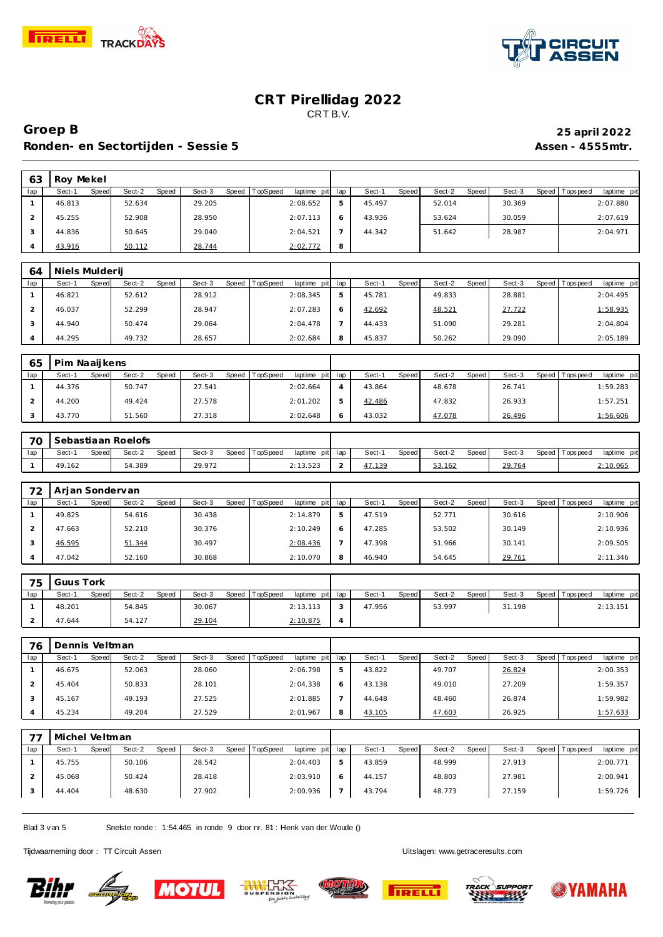



#### **Groep B 25 april 2022 Ronden- en Sectortijden - Sessie 5 Assen - 4555mtr.**

| 63  | Roy Mekel       |                 |                 |                             |   |                        |                 |        |                                |
|-----|-----------------|-----------------|-----------------|-----------------------------|---|------------------------|-----------------|--------|--------------------------------|
| lap | Sect-1<br>Speed | Sect-2<br>Speed | Sect-3<br>Speed | TopSpeed<br>laptime pit lap |   | Sect-1<br><b>Speed</b> | Sect-2<br>Speed | Sect-3 | Speed Tops peed<br>laptime pit |
|     | 46.813          | 52.634          | 29.205          | 2:08.652                    | 5 | 45.497                 | 52.014          | 30.369 | 2:07.880                       |
|     | 45.255          | 52.908          | 28.950          | 2:07.113                    |   | 43.936                 | 53.624          | 30.059 | 2:07.619                       |
|     | 44.836          | 50.645          | 29.040          | 2:04.521                    |   | 44.342                 | 51.642          | 28.987 | 2:04.971                       |
|     | 43.916          | 50.112          | 28.744          | 2:02.772                    | 8 |                        |                 |        |                                |

| 64  | Niels Mulderij |       |        |       |        |       |          |                 |   |        |              |        |       |        |                 |             |
|-----|----------------|-------|--------|-------|--------|-------|----------|-----------------|---|--------|--------------|--------|-------|--------|-----------------|-------------|
| lap | Sect-1         | Speed | Sect-2 | Speed | Sect-3 | Speed | TopSpeed | laptime pit lap |   | Sect-1 | <b>Speed</b> | Sect-2 | Speed | Sect-3 | Speed Tops peed | laptime pit |
|     | 46.821         |       | 52.612 |       | 28.912 |       |          | 2:08.345        |   | 45.781 |              | 49.833 |       | 28.881 |                 | 2:04.495    |
|     | 46.037         |       | 52.299 |       | 28.947 |       |          | 2:07.283        |   | 42.692 |              | 48.521 |       | 27.722 |                 | 1:58.935    |
|     | 44.940         |       | 50.474 |       | 29.064 |       |          | 2:04.478        |   | 44.433 |              | 51.090 |       | 29.281 |                 | 2:04.804    |
|     | 44.295         |       | 49.732 |       | 28.657 |       |          | 2:02.684        | 8 | 45.837 |              | 50.262 |       | 29.090 |                 | 2:05.189    |

| 65  | Pim Naaijkens |       |        |       |        |       |                 |                 |        |       |        |       |        |       |          |             |
|-----|---------------|-------|--------|-------|--------|-------|-----------------|-----------------|--------|-------|--------|-------|--------|-------|----------|-------------|
| lap | Sect-1        | Speed | Sect-2 | Speed | Sect-3 | Speed | <b>TopSpeed</b> | laptime pit lap | Sect-1 | Speed | Sect-2 | Speed | Sect-3 | Speed | Topspeed | laptime pit |
|     | 44.376        |       | 50.747 |       | 27.541 |       |                 | 2:02.664        | 43.864 |       | 48.678 |       | 26.741 |       |          | 1:59.283    |
|     | 44.200        |       | 49.424 |       | 27.578 |       |                 | 2:01.202        | 42.486 |       | 47.832 |       | 26.933 |       |          | 1:57.251    |
|     | 43.770        |       | 51.560 |       | 27.318 |       |                 | 2:02.648        | 43.032 |       | 47.078 |       | 26.496 |       |          | 1:56.606    |

| 70  |        |       | Sebastiaan Roelofs |              |        |                |                 |        |       |        |       |        |                 |             |
|-----|--------|-------|--------------------|--------------|--------|----------------|-----------------|--------|-------|--------|-------|--------|-----------------|-------------|
| lap | Sect-1 | Speed | Sect-2             | <b>Speed</b> | Sect-3 | Speed TopSpeed | laptime pit lap | Sect-  | Speed | Sect-2 | Speed | Sect-3 | Speed Tops peed | laptime pit |
|     | 49.162 |       | 54.389             |              | 29.972 |                | 2:13.523        | 17.139 |       | 53.162 |       | 29.764 |                 | 2:10.065    |

| 72  | Arian Sondervan |       |        |       |        |       |          |                 |        |       |        |       |        |       |            |             |
|-----|-----------------|-------|--------|-------|--------|-------|----------|-----------------|--------|-------|--------|-------|--------|-------|------------|-------------|
| lap | Sect-1          | Speed | Sect-2 | Speed | Sect-3 | Speed | TopSpeed | laptime pit lap | Sect-1 | Speed | Sect-2 | Speed | Sect-3 | Speed | Tops pee d | laptime pit |
|     | 49.825          |       | 54.616 |       | 30.438 |       |          | 2:14.879        | 47.519 |       | 52.771 |       | 30.616 |       |            | 2:10.906    |
|     | 47.663          |       | 52.210 |       | 30.376 |       |          | 2:10.249        | 47.285 |       | 53.502 |       | 30.149 |       |            | 2:10.936    |
|     | 46.595          |       | 51.344 |       | 30.497 |       |          | 2:08.436        | 47.398 |       | 51.966 |       | 30.141 |       |            | 2:09.505    |
|     | 47.042          |       | 52.160 |       | 30.868 |       |          | 2:10.070        | 46.940 |       | 54.645 |       | 29.761 |       |            | 2:11.346    |

| 75  | Guus Tork |       |        |       |        |                |                 |              |        |       |        |       |        |                   |             |
|-----|-----------|-------|--------|-------|--------|----------------|-----------------|--------------|--------|-------|--------|-------|--------|-------------------|-------------|
| lap | Sect-1    | Speed | Sect-2 | Speed | Sect-3 | Speed TopSpeed | laptime pit lap |              | Sect-1 | Speed | Sect-2 | Speed | Sect-3 | Speed   Tops peed | laptime pit |
|     | 48.201    |       | 54.845 |       | 30.067 |                | 2:13.113        |              | 47.956 |       | 53.997 |       | 31.198 |                   | 2:13.151    |
|     | 47.644    |       | 54.127 |       | 29.104 |                | 2:10.875        | $\mathbf{r}$ |        |       |        |       |        |                   |             |

| 76  | Dennis Veltman |       |        |              |        |       |                 |             |     |        |       |        |       |        |       |                 |             |
|-----|----------------|-------|--------|--------------|--------|-------|-----------------|-------------|-----|--------|-------|--------|-------|--------|-------|-----------------|-------------|
| lap | Sect-1         | Speed | Sect-2 | <b>Speed</b> | Sect-3 | Speed | <b>TopSpeed</b> | laptime pit | lap | Sect-1 | Speed | Sect-2 | Speed | Sect-3 | Speed | <b>Topspeed</b> | laptime pit |
|     | 46.675         |       | 52.063 |              | 28.060 |       |                 | 2:06.798    | 5   | 43.822 |       | 49.707 |       | 26.824 |       |                 | 2:00.353    |
|     | 45.404         |       | 50.833 |              | 28.101 |       |                 | 2:04.338    |     | 43.138 |       | 49.010 |       | 27.209 |       |                 | 1:59.357    |
|     | 45.167         |       | 49.193 |              | 27.525 |       |                 | 2:01.885    |     | 44.648 |       | 48.460 |       | 26.874 |       |                 | 1:59.982    |
|     | 45.234         |       | 49.204 |              | 27.529 |       |                 | 2:01.967    | 8   | 43.105 |       | 47.603 |       | 26.925 |       |                 | 1:57.633    |

| ュコ  | Michel Veltman  |                 |                 |                                    |   |                 |                 |        |                                  |
|-----|-----------------|-----------------|-----------------|------------------------------------|---|-----------------|-----------------|--------|----------------------------------|
| lap | Sect-1<br>Speed | Sect-2<br>Speed | Sect-3<br>Speed | <b>TopSpeed</b><br>laptime pit lap |   | Sect-1<br>Speed | Sect-2<br>Speed | Sect-3 | laptime pit<br>Speed   Tops peed |
|     | 45.755          | 50.106          | 28.542          | 2:04.403                           | ь | 43.859          | 48.999          | 27.913 | 2:00.771                         |
|     | 45.068          | 50.424          | 28.418          | 2:03.910                           |   | 44.157          | 48.803          | 27.981 | 2:00.941                         |
|     | 44.404          | 48.630          | 27.902          | 2:00.936                           |   | 43.794          | 48.773          | 27.159 | 1:59.726                         |

Blad 3 v an 5 Snelste ronde : 1:54.465 in ronde 9 door nr. 81 : Henk van der Woude ()

Tijdwaarneming door : TT Circuit Assen enter the state of the Uitslagen:<www.getraceresults.com>











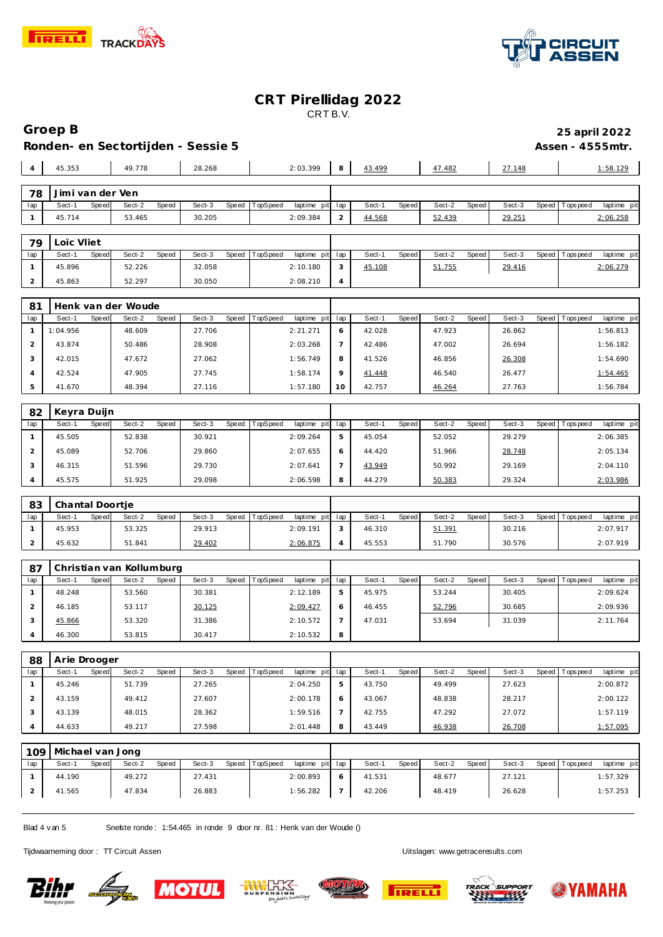



|                     | Groep B<br>25 april 2022                               |       |                          |       |                  |       |          |                         |                |                  |       |                  |       |                  |       |                |                         |
|---------------------|--------------------------------------------------------|-------|--------------------------|-------|------------------|-------|----------|-------------------------|----------------|------------------|-------|------------------|-------|------------------|-------|----------------|-------------------------|
|                     | Ronden- en Sectortijden - Sessie 5<br>Assen - 4555mtr. |       |                          |       |                  |       |          |                         |                |                  |       |                  |       |                  |       |                |                         |
| $\overline{4}$      | 45.353                                                 |       | 49.778                   |       | 28.268           |       |          | 2:03.399                | 8              | 43.499           |       | 47.482           |       |                  |       |                |                         |
|                     |                                                        |       |                          |       |                  |       |          |                         |                |                  |       |                  |       | 27.148           |       |                | 1:58.129                |
| 78                  | Jimi van der Ven                                       |       |                          |       |                  |       |          |                         |                |                  |       |                  |       |                  |       |                |                         |
| lap                 | Sect-1                                                 | Speed | Sect-2                   | Speed | Sect-3           | Speed | TopSpeed | laptime pit             | lap            | Sect-1           | Speed | Sect-2           | Speed | Sect-3           | Speed | T ops pee d    | laptime pit             |
| $\mathbf{1}$        | 45.714                                                 |       | 53.465                   |       | 30.205           |       |          | 2:09.384                | $\overline{c}$ | 44.568           |       | 52.439           |       | 29.251           |       |                | 2:06.258                |
| Loïc Vliet<br>79    |                                                        |       |                          |       |                  |       |          |                         |                |                  |       |                  |       |                  |       |                |                         |
| lap                 | Sect-1                                                 | Speed | Sect-2                   | Speed | Sect-3           | Speed | TopSpeed | laptime pit             | lap            | Sect-1           | Speed | Sect-2           | Speed | Sect-3           | Speed | T ops pee d    | laptime pit             |
| $\mathbf{1}$        | 45.896                                                 |       | 52.226                   |       | 32.058           |       |          | 2:10.180                | 3              | 45.108           |       | 51.755           |       | 29.416           |       |                | 2:06.279                |
| 2                   | 45.863                                                 |       | 52.297                   |       | 30.050           |       |          | 2:08.210                | 4              |                  |       |                  |       |                  |       |                |                         |
|                     |                                                        |       |                          |       |                  |       |          |                         |                |                  |       |                  |       |                  |       |                |                         |
| 81                  |                                                        |       | Henk van der Woude       |       |                  |       |          |                         |                |                  |       |                  |       |                  |       |                |                         |
| lap                 | Sect-1                                                 | Speed | Sect-2                   | Speed | Sect-3           | Speed | TopSpeed | laptime pit             | lap            | Sect-1           | Speed | Sect-2           | Speed | Sect-3           | Speed | T ops pee d    | laptime pit             |
| $\mathbf{1}$        | 1:04.956                                               |       | 48.609                   |       | 27.706           |       |          | 2:21.271                | 6              | 42.028           |       | 47.923<br>47.002 |       | 26.862           |       |                | 1:56.813                |
| 2                   | 43.874                                                 |       | 50.486                   |       | 28.908           |       |          | 2:03.268                | $\overline{7}$ | 42.486           |       |                  |       | 26.694           |       |                | 1:56.182                |
| 3                   | 42.015                                                 |       | 47.672                   |       | 27.062           |       |          | 1:56.749                | 8              | 41.526           |       | 46.856           |       | 26.308           |       |                | 1:54.690                |
| $\overline{4}$      | 42.524                                                 |       | 47.905                   |       | 27.745           |       |          | 1:58.174                | 9              | <u>41.448</u>    |       | 46.540           |       | 26.477           |       |                | 1:54.465                |
| 5                   | 41.670                                                 |       | 48.394                   |       | 27.116           |       |          | 1:57.180                | 10             | 42.757           |       | 46.264           |       | 27.763           |       |                | 1:56.784                |
| 82<br>Keyra Duijn   |                                                        |       |                          |       |                  |       |          |                         |                |                  |       |                  |       |                  |       |                |                         |
| lap                 | Sect-1                                                 | Speed | Sect-2                   | Speed | Sect-3           | Speed | TopSpeed | laptime pit             | lap            | Sect-1           | Speed | Sect-2           | Speed | Sect-3           |       | Speed Topspeed | laptime pit             |
| $\mathbf{1}$        | 45.505                                                 |       | 52.838                   |       | 30.921           |       |          | 2:09.264                | 5              | 45.054           |       | 52.052           |       | 29.279           |       |                | 2:06.385                |
| 2                   | 45.089                                                 |       | 52.706                   |       | 29.860           |       |          | 2:07.655                | 6              | 44.420           |       | 51.966           |       | 28.748           |       |                | 2:05.134                |
| 3                   | 46.315                                                 |       | 51.596                   |       | 29.730           |       |          | 2:07.641                | 7              | 43.949           |       | 50.992           |       | 29.169           |       |                | 2:04.110                |
| $\overline{4}$      | 45.575                                                 |       | 51.925                   |       | 29.098           |       |          | 2:06.598                | 8              | 44.279           |       | 50.383           |       | 29.324           |       |                | 2:03.986                |
|                     |                                                        |       |                          |       |                  |       |          |                         |                |                  |       |                  |       |                  |       |                |                         |
| 83                  | Chantal Doortje                                        |       |                          |       |                  |       |          |                         |                |                  |       |                  |       |                  |       |                |                         |
| lap<br>$\mathbf{1}$ | Sect-1<br>45.953                                       | Speed | Sect-2<br>53.325         | Speed | Sect-3<br>29.913 | Speed | TopSpeed | laptime pit<br>2:09.191 | lap<br>3       | Sect-1<br>46.310 | Speed | Sect-2<br>51.391 | Speed | Sect-3<br>30.216 | Speed | Tops pee d     | laptime pit<br>2:07.917 |
| $\overline{2}$      | 45.632                                                 |       | 51.841                   |       | 29.402           |       |          | 2:06.875                | 4              | 45.553           |       | 51.790           |       | 30.576           |       |                | 2:07.919                |
|                     |                                                        |       |                          |       |                  |       |          |                         |                |                  |       |                  |       |                  |       |                |                         |
| 87                  |                                                        |       | Christian van Kollumburg |       |                  |       |          |                         |                |                  |       |                  |       |                  |       |                |                         |
| lap                 | Sect-1                                                 | Speed | Sect-2                   | Speed | Sect-3           | Speed | TopSpeed | laptime pit             | lap            | Sect-1           | Speed | Sect-2           | Speed | Sect-3           | Speed | Tops pee d     | laptime pit             |
| $\mathbf{1}$        | 48.248                                                 |       | 53.560                   |       | 30.381           |       |          | 2:12.189                | 5              | 45.975           |       | 53.244           |       | 30.405           |       |                | 2:09.624                |
| 2                   | 46.185                                                 |       | 53.117                   |       | <u>30.125</u>    |       |          | 2:09.427                | 6              | 46.455           |       | 52.796           |       | 30.685           |       |                | 2:09.936                |
| 3                   | 45.866                                                 |       | 53.320                   |       | 31.386           |       |          | 2:10.572                |                | 47.031           |       | 53.694           |       | 31.039           |       |                | 2:11.764                |
| 4                   | 46.300                                                 |       | 53.815                   |       | 30.417           |       |          | 2:10.532                | 8              |                  |       |                  |       |                  |       |                |                         |
| Arie Drooger        |                                                        |       |                          |       |                  |       |          |                         |                |                  |       |                  |       |                  |       |                |                         |
| 88<br>lap           | Sect-1                                                 | Speed | Sect-2                   | Speed | Sect-3           | Speed | TopSpeed | laptime pit             | lap            | Sect-1           | Speed | Sect-2           | Speed | Sect-3           | Speed | T ops pee d    | laptime pit             |
| $\mathbf{1}$        | 45.246                                                 |       | 51.739                   |       | 27.265           |       |          | 2:04.250                | 5              | 43.750           |       | 49.499           |       | 27.623           |       |                | 2:00.872                |
| 2                   | 43.159                                                 |       | 49.412                   |       | 27.607           |       |          | 2:00.178                | 6              | 43.067           |       | 48.838           |       | 28.217           |       |                | 2:00.122                |
| 3                   | 43.139                                                 |       | 48.015                   |       | 28.362           |       |          | 1:59.516                | $\overline{7}$ | 42.755           |       | 47.292           |       | 27.072           |       |                | 1:57.119                |
| $\overline{4}$      | 44.633                                                 |       | 49.217                   |       | 27.598           |       |          | 2:01.448                | 8              | 43.449           |       | 46.938           |       | 26.708           |       |                | 1:57.095                |
|                     |                                                        |       |                          |       |                  |       |          |                         |                |                  |       |                  |       |                  |       |                |                         |
|                     | 109 Michael van Jong                                   |       |                          |       |                  |       |          |                         |                |                  |       |                  |       |                  |       |                |                         |

|     | 109   Michael van Jong |       |        |       |        |  |                |                 |   |        |       |        |       |        |                 |             |
|-----|------------------------|-------|--------|-------|--------|--|----------------|-----------------|---|--------|-------|--------|-------|--------|-----------------|-------------|
| lap | Sect-1                 | Speed | Sect-2 | Speed | Sect-3 |  | Speed TopSpeed | laptime pit lap |   | Sect-1 | Speed | Sect-2 | Speed | Sect-3 | Speed Tops peed | laptime pit |
|     | 44.190                 |       | 49.272 |       | 27.431 |  |                | 2:00.893        |   | 41.531 |       | 48.677 |       | 27.121 |                 | 1:57.329    |
|     | 41.565                 |       | 47.834 |       | 26.883 |  |                | 1:56.282        | - | 42.206 |       | 48.419 |       | 26.628 |                 | 1:57.253    |

Blad 4 v an 5 Snelste ronde : 1:54.465 in ronde 9 door nr. 81 : Henk v an der Woude ()

Tijdwaarneming door : TT Circuit Assen enter the state of the Uitslagen:<www.getraceresults.com>